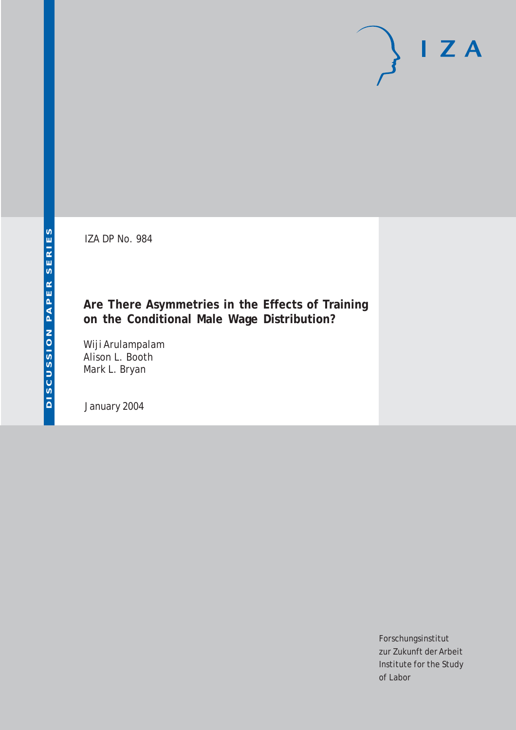IZA DP No. 984

## **Are There Asymmetries in the Effects of Training on the Conditional Male Wage Distribution?**

Wiji Arulampalam Alison L. Booth Mark L. Bryan

January 2004

Forschungsinstitut zur Zukunft der Arbeit Institute for the Study of Labor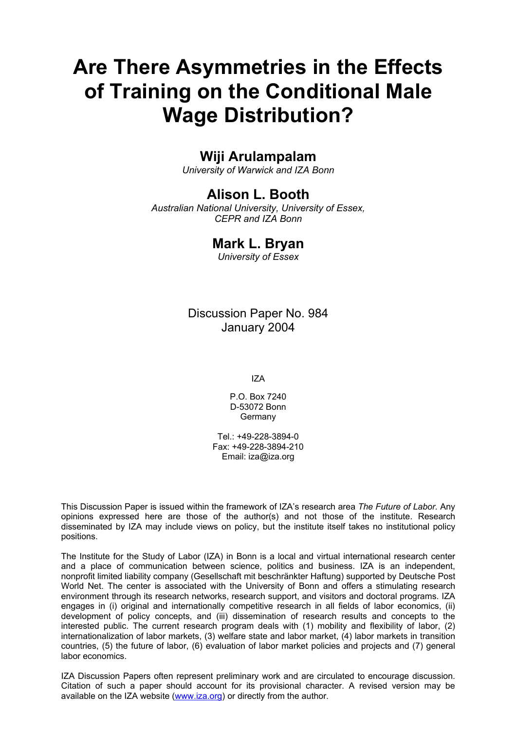# **Are There Asymmetries in the Effects of Training on the Conditional Male Wage Distribution?**

### **Wiji Arulampalam**

*University of Warwick and IZA Bonn* 

### **Alison L. Booth**

*Australian National University, University of Essex, CEPR and IZA Bonn* 

### **Mark L. Bryan**

*University of Essex* 

Discussion Paper No. 984 January 2004

IZA

P.O. Box 7240 D-53072 Bonn **Germany** 

Tel.: +49-228-3894-0 Fax: +49-228-3894-210 Email: [iza@iza.org](mailto:iza@iza.org)

This Discussion Paper is issued within the framework of IZA's research area *The Future of Labor.* Any opinions expressed here are those of the author(s) and not those of the institute. Research disseminated by IZA may include views on policy, but the institute itself takes no institutional policy positions.

The Institute for the Study of Labor (IZA) in Bonn is a local and virtual international research center and a place of communication between science, politics and business. IZA is an independent, nonprofit limited liability company (Gesellschaft mit beschränkter Haftung) supported by Deutsche Post World Net. The center is associated with the University of Bonn and offers a stimulating research environment through its research networks, research support, and visitors and doctoral programs. IZA engages in (i) original and internationally competitive research in all fields of labor economics, (ii) development of policy concepts, and (iii) dissemination of research results and concepts to the interested public. The current research program deals with (1) mobility and flexibility of labor, (2) internationalization of labor markets, (3) welfare state and labor market, (4) labor markets in transition countries, (5) the future of labor, (6) evaluation of labor market policies and projects and (7) general labor economics.

IZA Discussion Papers often represent preliminary work and are circulated to encourage discussion. Citation of such a paper should account for its provisional character. A revised version may be available on the IZA website ([www.iza.org](http://www.iza.org/)) or directly from the author.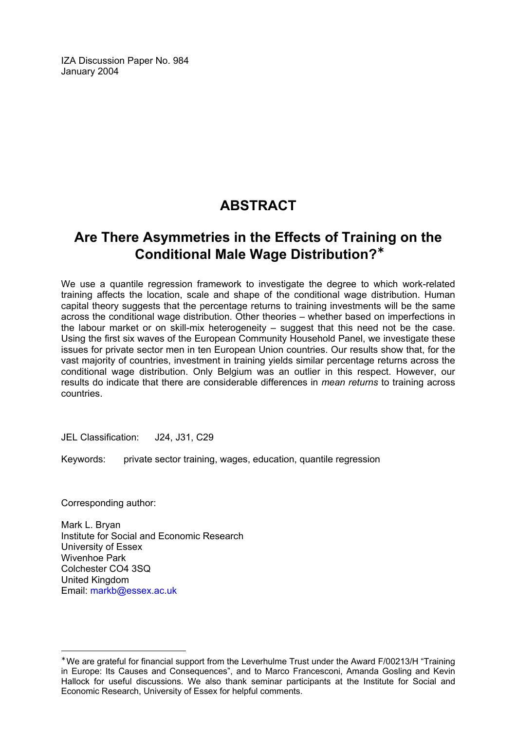IZA Discussion Paper No. 984 January 2004

# **ABSTRACT**

## **Are There Asymmetries in the Effects of Training on the Conditional Male Wage Distribution?**[∗](#page-2-0)

We use a quantile regression framework to investigate the degree to which work-related training affects the location, scale and shape of the conditional wage distribution. Human capital theory suggests that the percentage returns to training investments will be the same across the conditional wage distribution. Other theories – whether based on imperfections in the labour market or on skill-mix heterogeneity – suggest that this need not be the case. Using the first six waves of the European Community Household Panel, we investigate these issues for private sector men in ten European Union countries. Our results show that, for the vast majority of countries, investment in training yields similar percentage returns across the conditional wage distribution. Only Belgium was an outlier in this respect. However, our results do indicate that there are considerable differences in *mean returns* to training across countries.

JEL Classification: J24, J31, C29

Keywords: private sector training, wages, education, quantile regression

Corresponding author:

 $\overline{a}$ 

Mark L. Bryan Institute for Social and Economic Research University of Essex Wivenhoe Park Colchester CO4 3SQ United Kingdom Email: [markb@essex.ac.uk](mailto:markb@essex.ac.uk)

<span id="page-2-0"></span><sup>∗</sup> We are grateful for financial support from the Leverhulme Trust under the Award F/00213/H "Training in Europe: Its Causes and Consequences", and to Marco Francesconi, Amanda Gosling and Kevin Hallock for useful discussions. We also thank seminar participants at the Institute for Social and Economic Research, University of Essex for helpful comments.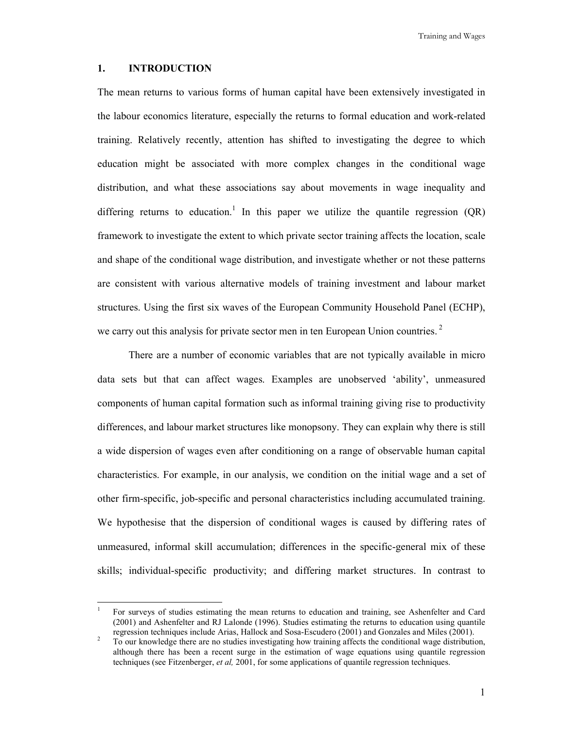#### **1. INTRODUCTION**

l

The mean returns to various forms of human capital have been extensively investigated in the labour economics literature, especially the returns to formal education and work-related training. Relatively recently, attention has shifted to investigating the degree to which education might be associated with more complex changes in the conditional wage distribution, and what these associations say about movements in wage inequality and differing returns to education.<sup>1</sup> In this paper we utilize the quantile regression  $(QR)$ framework to investigate the extent to which private sector training affects the location, scale and shape of the conditional wage distribution, and investigate whether or not these patterns are consistent with various alternative models of training investment and labour market structures. Using the first six waves of the European Community Household Panel (ECHP), we carry out this analysis for private sector men in ten European Union countries.<sup>2</sup>

There are a number of economic variables that are not typically available in micro data sets but that can affect wages. Examples are unobserved 'ability', unmeasured components of human capital formation such as informal training giving rise to productivity differences, and labour market structures like monopsony. They can explain why there is still a wide dispersion of wages even after conditioning on a range of observable human capital characteristics. For example, in our analysis, we condition on the initial wage and a set of other firm-specific, job-specific and personal characteristics including accumulated training. We hypothesise that the dispersion of conditional wages is caused by differing rates of unmeasured, informal skill accumulation; differences in the specific-general mix of these skills; individual-specific productivity; and differing market structures. In contrast to

<sup>1</sup> For surveys of studies estimating the mean returns to education and training, see Ashenfelter and Card (2001) and Ashenfelter and RJ Lalonde (1996). Studies estimating the returns to education using quantile regression techniques include Arias, Hallock and Sosa-Escudero (2001) and Gonzales and Miles (2001).<br><sup>2</sup> To our knowledge there are no studies investigating how training offerts the conditional wage distribution

To our knowledge there are no studies investigating how training affects the conditional wage distribution, although there has been a recent surge in the estimation of wage equations using quantile regression techniques (see Fitzenberger, *et al,* 2001, for some applications of quantile regression techniques.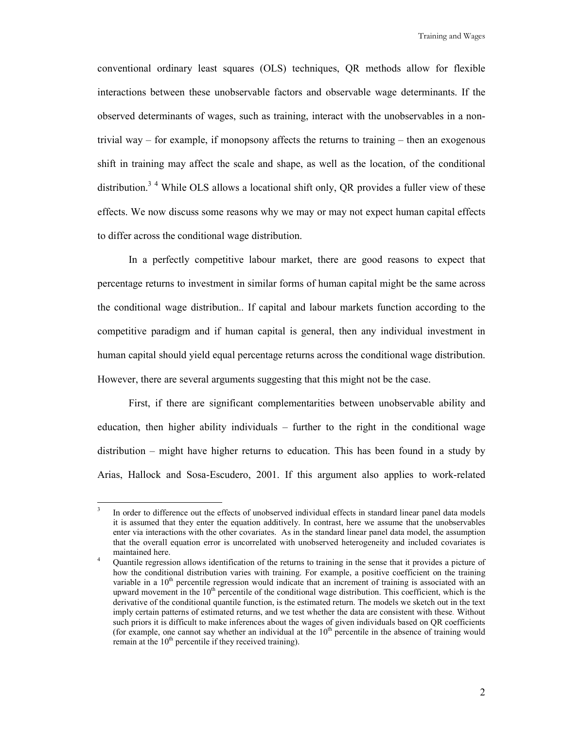conventional ordinary least squares (OLS) techniques, QR methods allow for flexible interactions between these unobservable factors and observable wage determinants. If the observed determinants of wages, such as training, interact with the unobservables in a nontrivial way – for example, if monopsony affects the returns to training – then an exogenous shift in training may affect the scale and shape, as well as the location, of the conditional distribution.<sup>34</sup> While OLS allows a locational shift only, QR provides a fuller view of these effects. We now discuss some reasons why we may or may not expect human capital effects to differ across the conditional wage distribution.

In a perfectly competitive labour market, there are good reasons to expect that percentage returns to investment in similar forms of human capital might be the same across the conditional wage distribution.. If capital and labour markets function according to the competitive paradigm and if human capital is general, then any individual investment in human capital should yield equal percentage returns across the conditional wage distribution. However, there are several arguments suggesting that this might not be the case.

First, if there are significant complementarities between unobservable ability and education, then higher ability individuals – further to the right in the conditional wage distribution – might have higher returns to education. This has been found in a study by Arias, Hallock and Sosa-Escudero, 2001. If this argument also applies to work-related

l

<sup>3</sup> In order to difference out the effects of unobserved individual effects in standard linear panel data models it is assumed that they enter the equation additively. In contrast, here we assume that the unobservables enter via interactions with the other covariates. As in the standard linear panel data model, the assumption that the overall equation error is uncorrelated with unobserved heterogeneity and included covariates is maintained here. 4

Quantile regression allows identification of the returns to training in the sense that it provides a picture of how the conditional distribution varies with training. For example, a positive coefficient on the training variable in a  $10<sup>th</sup>$  percentile regression would indicate that an increment of training is associated with an upward movement in the  $10<sup>th</sup>$  percentile of the conditional wage distribution. This coefficient, which is the derivative of the conditional quantile function, is the estimated return. The models we sketch out in the text imply certain patterns of estimated returns, and we test whether the data are consistent with these. Without such priors it is difficult to make inferences about the wages of given individuals based on QR coefficients (for example, one cannot say whether an individual at the  $10<sup>th</sup>$  percentile in the absence of training would remain at the  $10<sup>th</sup>$  percentile if they received training).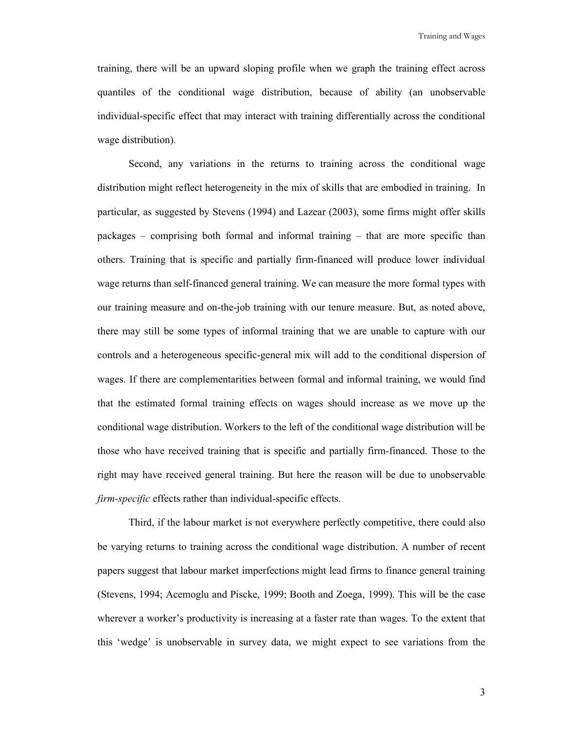training, there will be an upward sloping profile when we graph the training effect across quantiles of the conditional wage distribution, because of ability (an unobservable individual-specific effect that may interact with training differentially across the conditional wage distribution).

Second, any variations in the returns to training across the conditional wage distribution might reflect heterogeneity in the mix of skills that are embodied in training. In particular, as suggested by Stevens (1994) and Lazear (2003), some firms might offer skills packages – comprising both formal and informal training – that are more specific than others. Training that is specific and partially firm-financed will produce lower individual wage returns than self-financed general training. We can measure the more formal types with our training measure and on-the-job training with our tenure measure. But, as noted above, there may still be some types of informal training that we are unable to capture with our controls and a heterogeneous specific-general mix will add to the conditional dispersion of wages. If there are complementarities between formal and informal training, we would find that the estimated formal training effects on wages should increase as we move up the conditional wage distribution. Workers to the left of the conditional wage distribution will be those who have received training that is specific and partially firm-financed. Those to the right may have received general training. But here the reason will be due to unobservable *firm-specific* effects rather than individual-specific effects.

Third, if the labour market is not everywhere perfectly competitive, there could also be varying returns to training across the conditional wage distribution. A number of recent papers suggest that labour market imperfections might lead firms to finance general training (Stevens, 1994; Acemoglu and Piscke, 1999; Booth and Zoega, 1999). This will be the case wherever a worker's productivity is increasing at a faster rate than wages. To the extent that this 'wedge' is unobservable in survey data, we might expect to see variations from the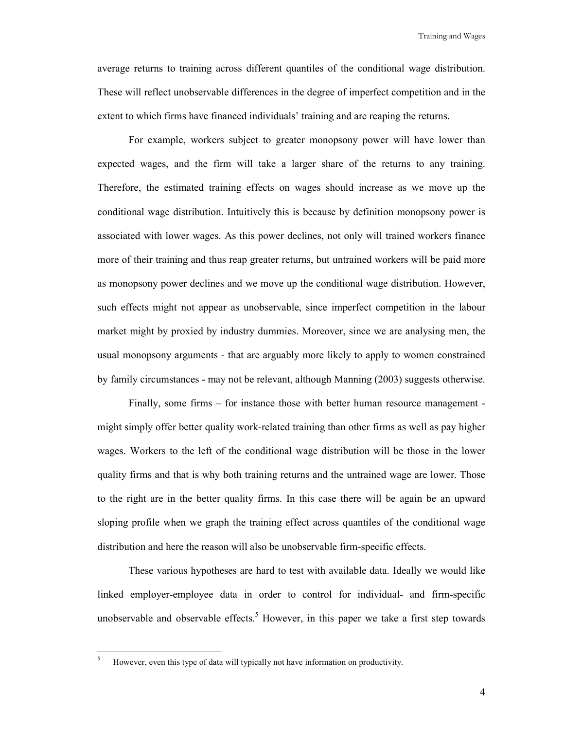average returns to training across different quantiles of the conditional wage distribution. These will reflect unobservable differences in the degree of imperfect competition and in the extent to which firms have financed individuals' training and are reaping the returns.

For example, workers subject to greater monopsony power will have lower than expected wages, and the firm will take a larger share of the returns to any training. Therefore, the estimated training effects on wages should increase as we move up the conditional wage distribution. Intuitively this is because by definition monopsony power is associated with lower wages. As this power declines, not only will trained workers finance more of their training and thus reap greater returns, but untrained workers will be paid more as monopsony power declines and we move up the conditional wage distribution. However, such effects might not appear as unobservable, since imperfect competition in the labour market might by proxied by industry dummies. Moreover, since we are analysing men, the usual monopsony arguments - that are arguably more likely to apply to women constrained by family circumstances - may not be relevant, although Manning (2003) suggests otherwise.

Finally, some firms – for instance those with better human resource management might simply offer better quality work-related training than other firms as well as pay higher wages. Workers to the left of the conditional wage distribution will be those in the lower quality firms and that is why both training returns and the untrained wage are lower. Those to the right are in the better quality firms. In this case there will be again be an upward sloping profile when we graph the training effect across quantiles of the conditional wage distribution and here the reason will also be unobservable firm-specific effects.

These various hypotheses are hard to test with available data. Ideally we would like linked employer-employee data in order to control for individual- and firm-specific unobservable and observable effects.<sup>5</sup> However, in this paper we take a first step towards

 $\overline{a}$ 

<sup>5</sup> However, even this type of data will typically not have information on productivity.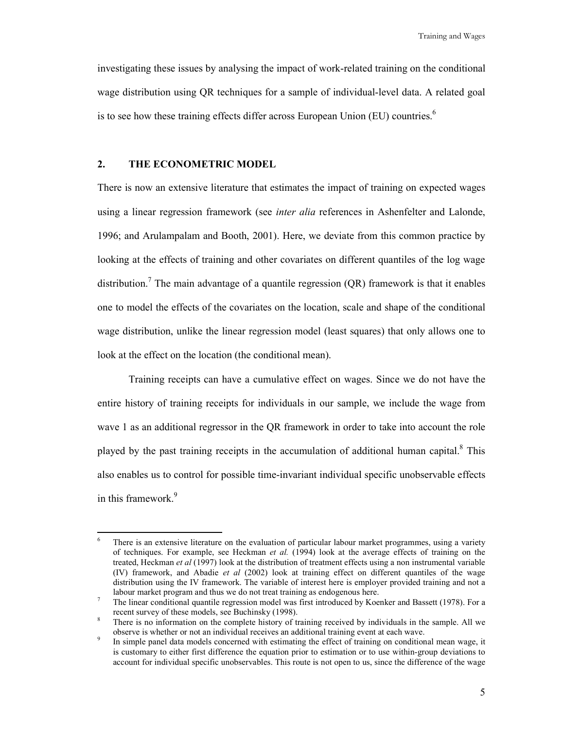investigating these issues by analysing the impact of work-related training on the conditional wage distribution using QR techniques for a sample of individual-level data. A related goal is to see how these training effects differ across European Union (EU) countries.<sup>6</sup>

#### **2. THE ECONOMETRIC MODEL**

 $\overline{a}$ 

There is now an extensive literature that estimates the impact of training on expected wages using a linear regression framework (see *inter alia* references in Ashenfelter and Lalonde, 1996; and Arulampalam and Booth, 2001). Here, we deviate from this common practice by looking at the effects of training and other covariates on different quantiles of the log wage distribution.<sup>7</sup> The main advantage of a quantile regression (QR) framework is that it enables one to model the effects of the covariates on the location, scale and shape of the conditional wage distribution, unlike the linear regression model (least squares) that only allows one to look at the effect on the location (the conditional mean).

 Training receipts can have a cumulative effect on wages. Since we do not have the entire history of training receipts for individuals in our sample, we include the wage from wave 1 as an additional regressor in the QR framework in order to take into account the role played by the past training receipts in the accumulation of additional human capital.<sup>8</sup> This also enables us to control for possible time-invariant individual specific unobservable effects in this framework.<sup>9</sup>

<sup>6</sup> There is an extensive literature on the evaluation of particular labour market programmes, using a variety of techniques. For example, see Heckman *et al.* (1994) look at the average effects of training on the treated, Heckman *et al* (1997) look at the distribution of treatment effects using a non instrumental variable (IV) framework, and Abadie *et al* (2002) look at training effect on different quantiles of the wage distribution using the IV framework. The variable of interest here is employer provided training and not a labour market program and thus we do not treat training as endogenous here.

The linear conditional quantile regression model was first introduced by Koenker and Bassett (1978). For a recent survey of these models, see Buchinsky (1998).

There is no information on the complete history of training received by individuals in the sample. All we observe is whether or not an individual receives an additional training event at each wave.

In simple panel data models concerned with estimating the effect of training on conditional mean wage, it is customary to either first difference the equation prior to estimation or to use within-group deviations to account for individual specific unobservables. This route is not open to us, since the difference of the wage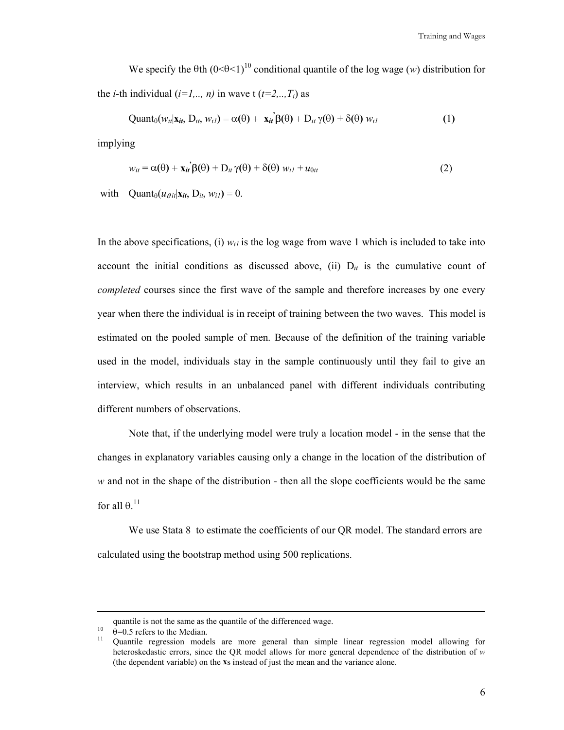We specify the  $\theta$ th (0< $\theta$ < $1$ )<sup>10</sup> conditional quantile of the log wage (*w*) distribution for the *i*-th individual  $(i=1, ..., n)$  in wave t  $(t=2, ..., T<sub>i</sub>)$  as

$$
\text{Quant}_{\theta}(w_{ii}|\mathbf{x}_{it}, \mathbf{D}_{it}, w_{il}) = \alpha(\theta) + \mathbf{x}_{it}^{\prime} \beta(\theta) + \mathbf{D}_{it} \gamma(\theta) + \delta(\theta) w_{il} \tag{1}
$$

implying

$$
w_{it} = \alpha(\theta) + \mathbf{x}_{it} \mathbf{\hat{\beta}}(\theta) + \mathbf{D}_{it} \gamma(\theta) + \delta(\theta) w_{il} + u_{\theta it}
$$
 (2)

with  $\text{Quant}_{\theta}(u_{\theta}u|\mathbf{x}_{it}, \mathbf{D}_{it}, w_{il}) = 0.$ 

In the above specifications, (i)  $w_{il}$  is the log wage from wave 1 which is included to take into account the initial conditions as discussed above, (ii)  $D_{it}$  is the cumulative count of *completed* courses since the first wave of the sample and therefore increases by one every year when there the individual is in receipt of training between the two waves. This model is estimated on the pooled sample of men. Because of the definition of the training variable used in the model, individuals stay in the sample continuously until they fail to give an interview, which results in an unbalanced panel with different individuals contributing different numbers of observations.

Note that, if the underlying model were truly a location model - in the sense that the changes in explanatory variables causing only a change in the location of the distribution of *w* and not in the shape of the distribution - then all the slope coefficients would be the same for all  $\theta$ .<sup>11</sup>

 We use Stata 8 to estimate the coefficients of our QR model. The standard errors are calculated using the bootstrap method using 500 replications.

l

quantile is not the same as the quantile of the differenced wage.<br>
<sup>10</sup>  $\theta$ =0.5 refers to the Median.<br>
<sup>11</sup> Quantile regression models are more general than simple linear regression model allowing for heteroskedastic errors, since the QR model allows for more general dependence of the distribution of *w*  (the dependent variable) on the **x**s instead of just the mean and the variance alone.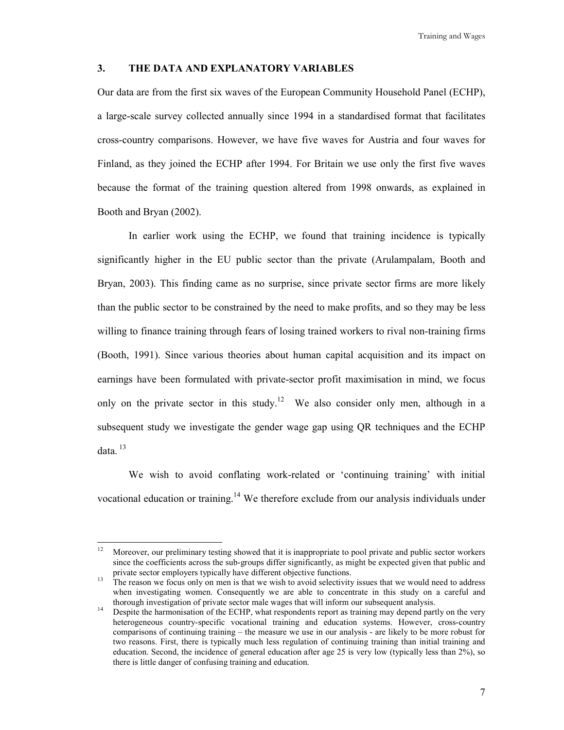#### **3. THE DATA AND EXPLANATORY VARIABLES**

Our data are from the first six waves of the European Community Household Panel (ECHP), a large-scale survey collected annually since 1994 in a standardised format that facilitates cross-country comparisons. However, we have five waves for Austria and four waves for Finland, as they joined the ECHP after 1994. For Britain we use only the first five waves because the format of the training question altered from 1998 onwards, as explained in Booth and Bryan (2002).

 In earlier work using the ECHP, we found that training incidence is typically significantly higher in the EU public sector than the private (Arulampalam, Booth and Bryan, 2003). This finding came as no surprise, since private sector firms are more likely than the public sector to be constrained by the need to make profits, and so they may be less willing to finance training through fears of losing trained workers to rival non-training firms (Booth, 1991). Since various theories about human capital acquisition and its impact on earnings have been formulated with private-sector profit maximisation in mind, we focus only on the private sector in this study.<sup>12</sup> We also consider only men, although in a subsequent study we investigate the gender wage gap using QR techniques and the ECHP data. $13$ 

 We wish to avoid conflating work-related or 'continuing training' with initial vocational education or training.<sup>14</sup> We therefore exclude from our analysis individuals under

 $12 \,$ 12 Moreover, our preliminary testing showed that it is inappropriate to pool private and public sector workers since the coefficients across the sub-groups differ significantly, as might be expected given that public and private sector employers typically have different objective functions.

<sup>&</sup>lt;sup>13</sup> The reason we focus only on men is that we wish to avoid selectivity issues that we would need to address when investigating women. Consequently we are able to concentrate in this study on a careful and thorough investigation of private sector male wages that will inform our subsequent analysis.<br><sup>14</sup> Despite the harmonisation of the ECHP, what respondents report as training may depend partly on the very

heterogeneous country-specific vocational training and education systems. However, cross-country comparisons of continuing training – the measure we use in our analysis - are likely to be more robust for two reasons. First, there is typically much less regulation of continuing training than initial training and education. Second, the incidence of general education after age 25 is very low (typically less than 2%), so there is little danger of confusing training and education.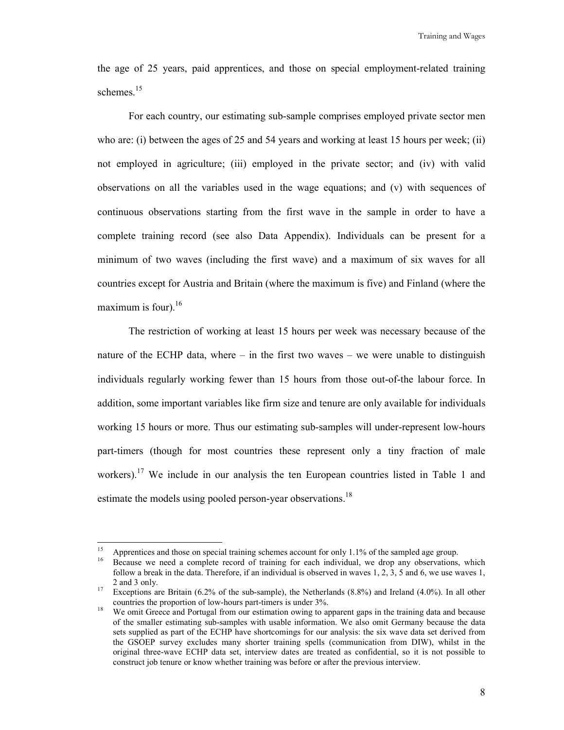the age of 25 years, paid apprentices, and those on special employment-related training schemes.<sup>15</sup>

 For each country, our estimating sub-sample comprises employed private sector men who are: (i) between the ages of 25 and 54 years and working at least 15 hours per week; (ii) not employed in agriculture; (iii) employed in the private sector; and (iv) with valid observations on all the variables used in the wage equations; and (v) with sequences of continuous observations starting from the first wave in the sample in order to have a complete training record (see also Data Appendix). Individuals can be present for a minimum of two waves (including the first wave) and a maximum of six waves for all countries except for Austria and Britain (where the maximum is five) and Finland (where the maximum is four). $16$ 

The restriction of working at least 15 hours per week was necessary because of the nature of the ECHP data, where  $-$  in the first two waves  $-$  we were unable to distinguish individuals regularly working fewer than 15 hours from those out-of-the labour force. In addition, some important variables like firm size and tenure are only available for individuals working 15 hours or more. Thus our estimating sub-samples will under-represent low-hours part-timers (though for most countries these represent only a tiny fraction of male workers).<sup>17</sup> We include in our analysis the ten European countries listed in Table 1 and estimate the models using pooled person-year observations.<sup>18</sup>

<sup>15</sup> <sup>15</sup> Apprentices and those on special training schemes account for only 1.1% of the sampled age group.<br><sup>16</sup> Because we need a semplete record of training for each individual we draw any observations.

<sup>16</sup> Because we need a complete record of training for each individual, we drop any observations, which follow a break in the data. Therefore, if an individual is observed in waves 1, 2, 3, 5 and 6, we use waves 1, 2 and 3 only.<br><sup>17</sup> Exceptions are Britain (6.2% of the sub-sample), the Netherlands (8.8%) and Ireland (4.0%). In all other

countries the proportion of low-hours part-timers is under 3%.<br><sup>18</sup> We omit Greece and Portugal from our estimation owing to apparent gaps in the training data and because

of the smaller estimating sub-samples with usable information. We also omit Germany because the data sets supplied as part of the ECHP have shortcomings for our analysis: the six wave data set derived from the GSOEP survey excludes many shorter training spells (communication from DIW), whilst in the original three-wave ECHP data set, interview dates are treated as confidential, so it is not possible to construct job tenure or know whether training was before or after the previous interview.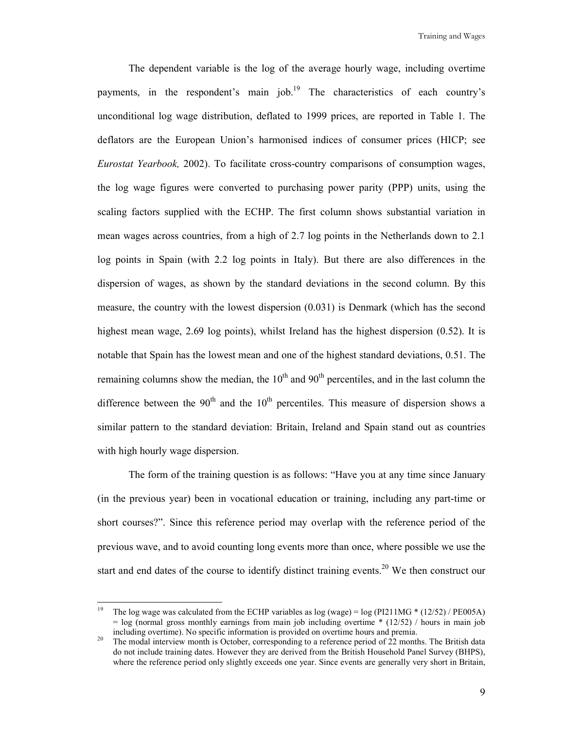The dependent variable is the log of the average hourly wage, including overtime payments, in the respondent's main  $job.^{19}$ . The characteristics of each country's unconditional log wage distribution, deflated to 1999 prices, are reported in Table 1. The deflators are the European Union's harmonised indices of consumer prices (HICP; see *Eurostat Yearbook,* 2002). To facilitate cross-country comparisons of consumption wages, the log wage figures were converted to purchasing power parity (PPP) units, using the scaling factors supplied with the ECHP. The first column shows substantial variation in mean wages across countries, from a high of 2.7 log points in the Netherlands down to 2.1 log points in Spain (with 2.2 log points in Italy). But there are also differences in the dispersion of wages, as shown by the standard deviations in the second column. By this measure, the country with the lowest dispersion (0.031) is Denmark (which has the second highest mean wage, 2.69 log points), whilst Ireland has the highest dispersion (0.52). It is notable that Spain has the lowest mean and one of the highest standard deviations, 0.51. The remaining columns show the median, the  $10<sup>th</sup>$  and  $90<sup>th</sup>$  percentiles, and in the last column the difference between the  $90<sup>th</sup>$  and the  $10<sup>th</sup>$  percentiles. This measure of dispersion shows a similar pattern to the standard deviation: Britain, Ireland and Spain stand out as countries with high hourly wage dispersion.

The form of the training question is as follows: "Have you at any time since January (in the previous year) been in vocational education or training, including any part-time or short courses?". Since this reference period may overlap with the reference period of the previous wave, and to avoid counting long events more than once, where possible we use the start and end dates of the course to identify distinct training events.<sup>20</sup> We then construct our

l

The log wage was calculated from the ECHP variables as log (wage) = log (PI211MG  $*(12/52)$  / PE005A)  $=$  log (normal gross monthly earnings from main job including overtime  $*$  (12/52) / hours in main job

including overtime). No specific information is provided on overtime hours and premia.<br><sup>20</sup> The modal interview month is October, corresponding to a reference period of 22 months. The British data do not include training dates. However they are derived from the British Household Panel Survey (BHPS), where the reference period only slightly exceeds one year. Since events are generally very short in Britain,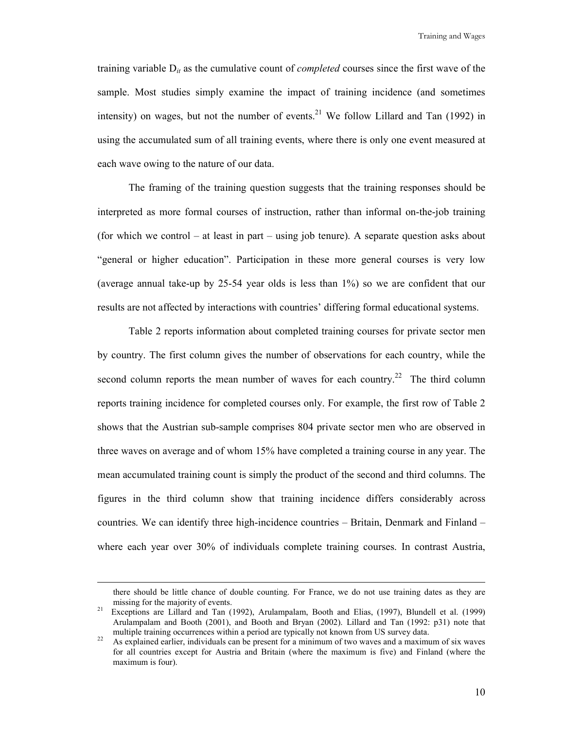training variable D*it* as the cumulative count of *completed* courses since the first wave of the sample. Most studies simply examine the impact of training incidence (and sometimes intensity) on wages, but not the number of events.<sup>21</sup> We follow Lillard and Tan (1992) in using the accumulated sum of all training events, where there is only one event measured at each wave owing to the nature of our data.

The framing of the training question suggests that the training responses should be interpreted as more formal courses of instruction, rather than informal on-the-job training (for which we control – at least in part – using job tenure). A separate question asks about "general or higher education". Participation in these more general courses is very low (average annual take-up by 25-54 year olds is less than 1%) so we are confident that our results are not affected by interactions with countries' differing formal educational systems.

Table 2 reports information about completed training courses for private sector men by country. The first column gives the number of observations for each country, while the second column reports the mean number of waves for each country.<sup>22</sup> The third column reports training incidence for completed courses only. For example, the first row of Table 2 shows that the Austrian sub-sample comprises 804 private sector men who are observed in three waves on average and of whom 15% have completed a training course in any year. The mean accumulated training count is simply the product of the second and third columns. The figures in the third column show that training incidence differs considerably across countries. We can identify three high-incidence countries – Britain, Denmark and Finland – where each year over 30% of individuals complete training courses. In contrast Austria,

there should be little chance of double counting. For France, we do not use training dates as they are missing for the majority of events.<br><sup>21</sup> Exceptions are Lillard and Tan (1992), Arulampalam, Booth and Elias, (1997), Blundell et al. (1999)

Arulampalam and Booth (2001), and Booth and Bryan (2002). Lillard and Tan (1992: p31) note that

multiple training occurrences within a period are typically not known from US survey data.<br><sup>22</sup> As explained earlier, individuals can be present for a minimum of two waves and a maximum of six waves for all countries except for Austria and Britain (where the maximum is five) and Finland (where the maximum is four).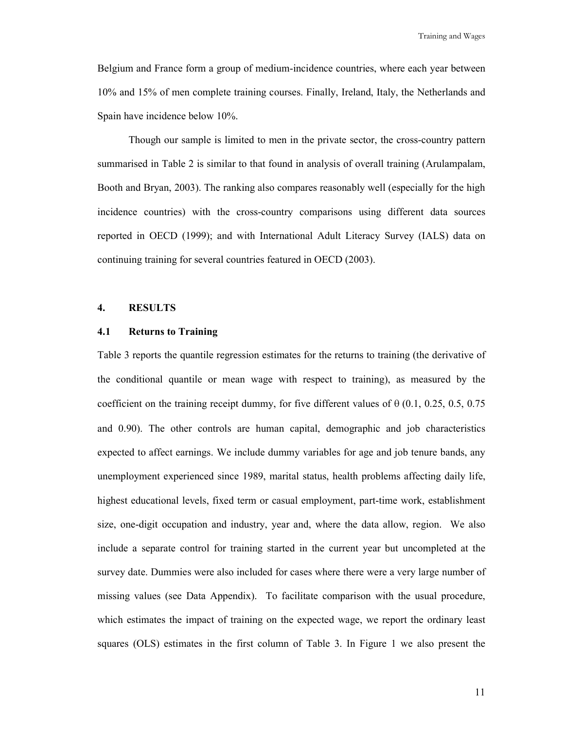Belgium and France form a group of medium-incidence countries, where each year between 10% and 15% of men complete training courses. Finally, Ireland, Italy, the Netherlands and Spain have incidence below 10%.

Though our sample is limited to men in the private sector, the cross-country pattern summarised in Table 2 is similar to that found in analysis of overall training (Arulampalam, Booth and Bryan, 2003). The ranking also compares reasonably well (especially for the high incidence countries) with the cross-country comparisons using different data sources reported in OECD (1999); and with International Adult Literacy Survey (IALS) data on continuing training for several countries featured in OECD (2003).

#### **4. RESULTS**

#### **4.1 Returns to Training**

Table 3 reports the quantile regression estimates for the returns to training (the derivative of the conditional quantile or mean wage with respect to training), as measured by the coefficient on the training receipt dummy, for five different values of  $\theta$  (0.1, 0.25, 0.5, 0.75 and 0.90). The other controls are human capital, demographic and job characteristics expected to affect earnings. We include dummy variables for age and job tenure bands, any unemployment experienced since 1989, marital status, health problems affecting daily life, highest educational levels, fixed term or casual employment, part-time work, establishment size, one-digit occupation and industry, year and, where the data allow, region. We also include a separate control for training started in the current year but uncompleted at the survey date. Dummies were also included for cases where there were a very large number of missing values (see Data Appendix). To facilitate comparison with the usual procedure, which estimates the impact of training on the expected wage, we report the ordinary least squares (OLS) estimates in the first column of Table 3. In Figure 1 we also present the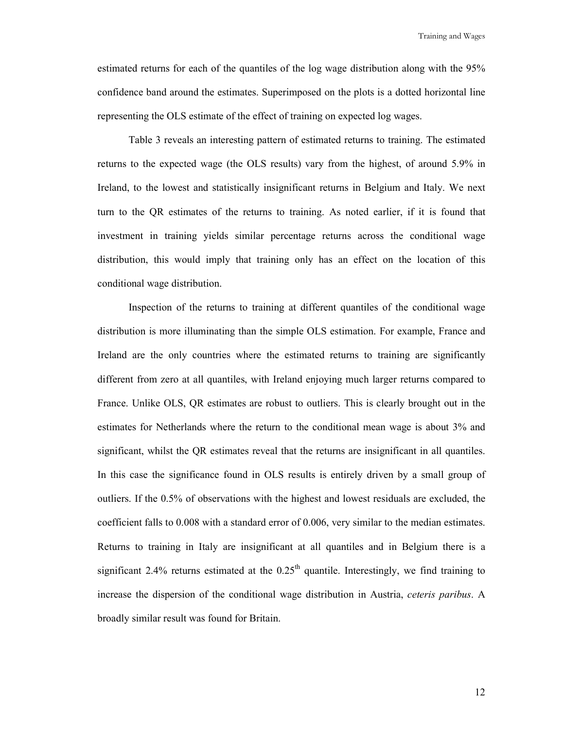estimated returns for each of the quantiles of the log wage distribution along with the 95% confidence band around the estimates. Superimposed on the plots is a dotted horizontal line representing the OLS estimate of the effect of training on expected log wages.

 Table 3 reveals an interesting pattern of estimated returns to training. The estimated returns to the expected wage (the OLS results) vary from the highest, of around 5.9% in Ireland, to the lowest and statistically insignificant returns in Belgium and Italy. We next turn to the QR estimates of the returns to training. As noted earlier, if it is found that investment in training yields similar percentage returns across the conditional wage distribution, this would imply that training only has an effect on the location of this conditional wage distribution.

Inspection of the returns to training at different quantiles of the conditional wage distribution is more illuminating than the simple OLS estimation. For example, France and Ireland are the only countries where the estimated returns to training are significantly different from zero at all quantiles, with Ireland enjoying much larger returns compared to France. Unlike OLS, QR estimates are robust to outliers. This is clearly brought out in the estimates for Netherlands where the return to the conditional mean wage is about 3% and significant, whilst the QR estimates reveal that the returns are insignificant in all quantiles. In this case the significance found in OLS results is entirely driven by a small group of outliers. If the 0.5% of observations with the highest and lowest residuals are excluded, the coefficient falls to 0.008 with a standard error of 0.006, very similar to the median estimates. Returns to training in Italy are insignificant at all quantiles and in Belgium there is a significant 2.4% returns estimated at the  $0.25<sup>th</sup>$  quantile. Interestingly, we find training to increase the dispersion of the conditional wage distribution in Austria, *ceteris paribus*. A broadly similar result was found for Britain.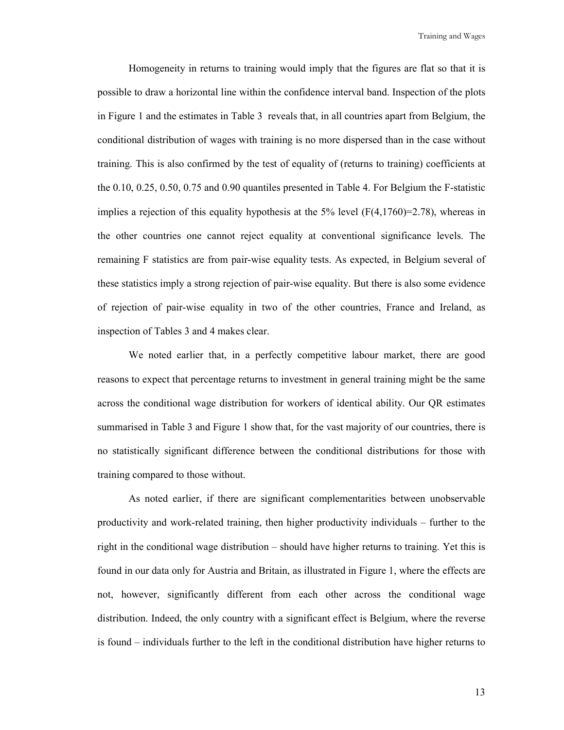Homogeneity in returns to training would imply that the figures are flat so that it is possible to draw a horizontal line within the confidence interval band. Inspection of the plots in Figure 1 and the estimates in Table 3 reveals that, in all countries apart from Belgium, the conditional distribution of wages with training is no more dispersed than in the case without training. This is also confirmed by the test of equality of (returns to training) coefficients at the 0.10, 0.25, 0.50, 0.75 and 0.90 quantiles presented in Table 4. For Belgium the F-statistic implies a rejection of this equality hypothesis at the 5% level  $(F(4,1760)=2.78)$ , whereas in the other countries one cannot reject equality at conventional significance levels. The remaining F statistics are from pair-wise equality tests. As expected, in Belgium several of these statistics imply a strong rejection of pair-wise equality. But there is also some evidence of rejection of pair-wise equality in two of the other countries, France and Ireland, as inspection of Tables 3 and 4 makes clear.

We noted earlier that, in a perfectly competitive labour market, there are good reasons to expect that percentage returns to investment in general training might be the same across the conditional wage distribution for workers of identical ability. Our QR estimates summarised in Table 3 and Figure 1 show that, for the vast majority of our countries, there is no statistically significant difference between the conditional distributions for those with training compared to those without.

As noted earlier, if there are significant complementarities between unobservable productivity and work-related training, then higher productivity individuals – further to the right in the conditional wage distribution – should have higher returns to training. Yet this is found in our data only for Austria and Britain, as illustrated in Figure 1, where the effects are not, however, significantly different from each other across the conditional wage distribution. Indeed, the only country with a significant effect is Belgium, where the reverse is found – individuals further to the left in the conditional distribution have higher returns to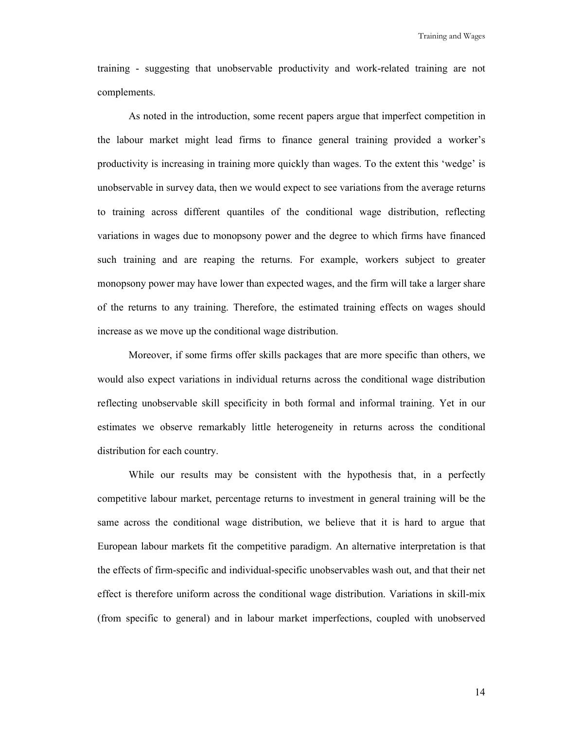training - suggesting that unobservable productivity and work-related training are not complements.

As noted in the introduction, some recent papers argue that imperfect competition in the labour market might lead firms to finance general training provided a worker's productivity is increasing in training more quickly than wages. To the extent this 'wedge' is unobservable in survey data, then we would expect to see variations from the average returns to training across different quantiles of the conditional wage distribution, reflecting variations in wages due to monopsony power and the degree to which firms have financed such training and are reaping the returns. For example, workers subject to greater monopsony power may have lower than expected wages, and the firm will take a larger share of the returns to any training. Therefore, the estimated training effects on wages should increase as we move up the conditional wage distribution.

Moreover, if some firms offer skills packages that are more specific than others, we would also expect variations in individual returns across the conditional wage distribution reflecting unobservable skill specificity in both formal and informal training. Yet in our estimates we observe remarkably little heterogeneity in returns across the conditional distribution for each country.

While our results may be consistent with the hypothesis that, in a perfectly competitive labour market, percentage returns to investment in general training will be the same across the conditional wage distribution, we believe that it is hard to argue that European labour markets fit the competitive paradigm. An alternative interpretation is that the effects of firm-specific and individual-specific unobservables wash out, and that their net effect is therefore uniform across the conditional wage distribution. Variations in skill-mix (from specific to general) and in labour market imperfections, coupled with unobserved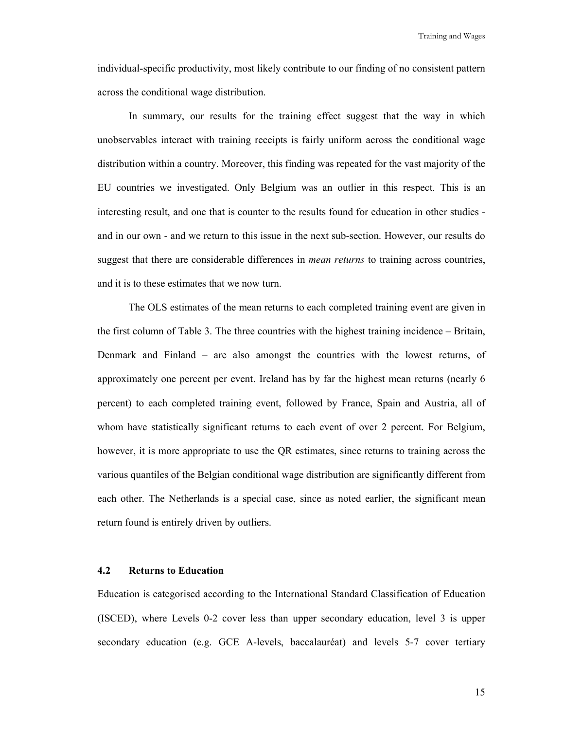individual-specific productivity, most likely contribute to our finding of no consistent pattern across the conditional wage distribution.

In summary, our results for the training effect suggest that the way in which unobservables interact with training receipts is fairly uniform across the conditional wage distribution within a country. Moreover, this finding was repeated for the vast majority of the EU countries we investigated. Only Belgium was an outlier in this respect. This is an interesting result, and one that is counter to the results found for education in other studies and in our own - and we return to this issue in the next sub-section. However, our results do suggest that there are considerable differences in *mean returns* to training across countries, and it is to these estimates that we now turn.

The OLS estimates of the mean returns to each completed training event are given in the first column of Table 3. The three countries with the highest training incidence – Britain, Denmark and Finland – are also amongst the countries with the lowest returns, of approximately one percent per event. Ireland has by far the highest mean returns (nearly 6 percent) to each completed training event, followed by France, Spain and Austria, all of whom have statistically significant returns to each event of over 2 percent. For Belgium, however, it is more appropriate to use the QR estimates, since returns to training across the various quantiles of the Belgian conditional wage distribution are significantly different from each other. The Netherlands is a special case, since as noted earlier, the significant mean return found is entirely driven by outliers.

#### **4.2 Returns to Education**

Education is categorised according to the International Standard Classification of Education (ISCED), where Levels 0-2 cover less than upper secondary education, level 3 is upper secondary education (e.g. GCE A-levels, baccalauréat) and levels 5-7 cover tertiary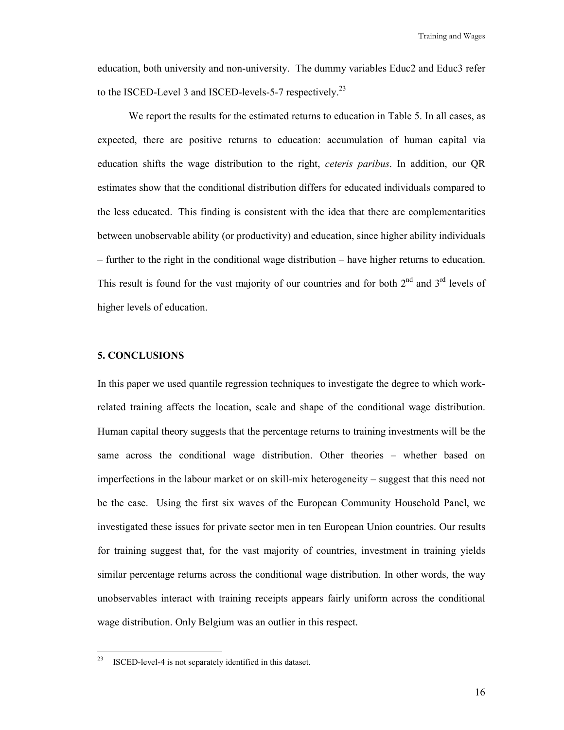education, both university and non-university. The dummy variables Educ2 and Educ3 refer to the ISCED-Level 3 and ISCED-levels-5-7 respectively.<sup>23</sup>

 We report the results for the estimated returns to education in Table 5. In all cases, as expected, there are positive returns to education: accumulation of human capital via education shifts the wage distribution to the right, *ceteris paribus*. In addition, our QR estimates show that the conditional distribution differs for educated individuals compared to the less educated. This finding is consistent with the idea that there are complementarities between unobservable ability (or productivity) and education, since higher ability individuals – further to the right in the conditional wage distribution – have higher returns to education. This result is found for the vast majority of our countries and for both  $2^{nd}$  and  $3^{rd}$  levels of higher levels of education.

#### **5. CONCLUSIONS**

In this paper we used quantile regression techniques to investigate the degree to which workrelated training affects the location, scale and shape of the conditional wage distribution. Human capital theory suggests that the percentage returns to training investments will be the same across the conditional wage distribution. Other theories – whether based on imperfections in the labour market or on skill-mix heterogeneity – suggest that this need not be the case. Using the first six waves of the European Community Household Panel, we investigated these issues for private sector men in ten European Union countries. Our results for training suggest that, for the vast majority of countries, investment in training yields similar percentage returns across the conditional wage distribution. In other words, the way unobservables interact with training receipts appears fairly uniform across the conditional wage distribution. Only Belgium was an outlier in this respect.

 $23$ ISCED-level-4 is not separately identified in this dataset.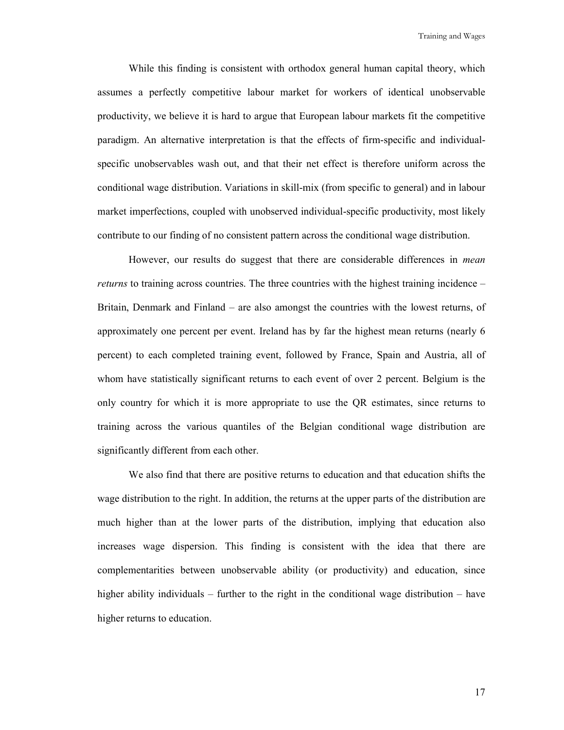While this finding is consistent with orthodox general human capital theory, which assumes a perfectly competitive labour market for workers of identical unobservable productivity, we believe it is hard to argue that European labour markets fit the competitive paradigm. An alternative interpretation is that the effects of firm-specific and individualspecific unobservables wash out, and that their net effect is therefore uniform across the conditional wage distribution. Variations in skill-mix (from specific to general) and in labour market imperfections, coupled with unobserved individual-specific productivity, most likely contribute to our finding of no consistent pattern across the conditional wage distribution.

However, our results do suggest that there are considerable differences in *mean returns* to training across countries. The three countries with the highest training incidence – Britain, Denmark and Finland – are also amongst the countries with the lowest returns, of approximately one percent per event. Ireland has by far the highest mean returns (nearly 6 percent) to each completed training event, followed by France, Spain and Austria, all of whom have statistically significant returns to each event of over 2 percent. Belgium is the only country for which it is more appropriate to use the QR estimates, since returns to training across the various quantiles of the Belgian conditional wage distribution are significantly different from each other.

We also find that there are positive returns to education and that education shifts the wage distribution to the right. In addition, the returns at the upper parts of the distribution are much higher than at the lower parts of the distribution, implying that education also increases wage dispersion. This finding is consistent with the idea that there are complementarities between unobservable ability (or productivity) and education, since higher ability individuals – further to the right in the conditional wage distribution – have higher returns to education.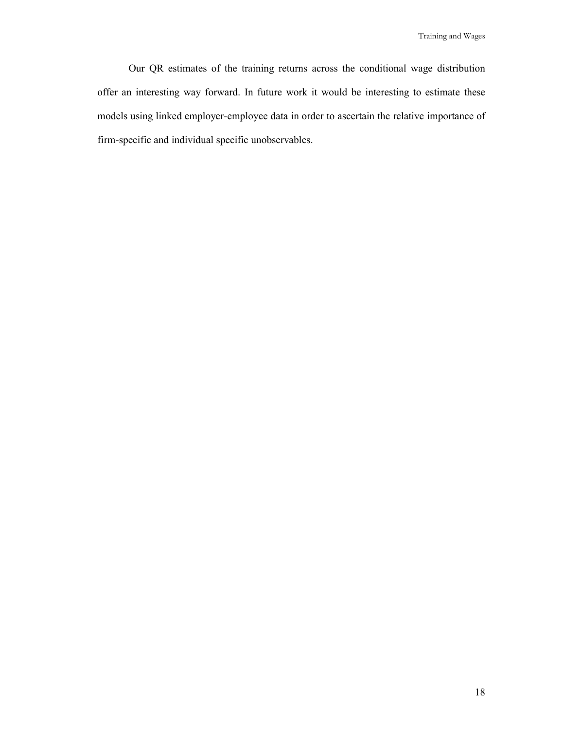Our QR estimates of the training returns across the conditional wage distribution offer an interesting way forward. In future work it would be interesting to estimate these models using linked employer-employee data in order to ascertain the relative importance of firm-specific and individual specific unobservables.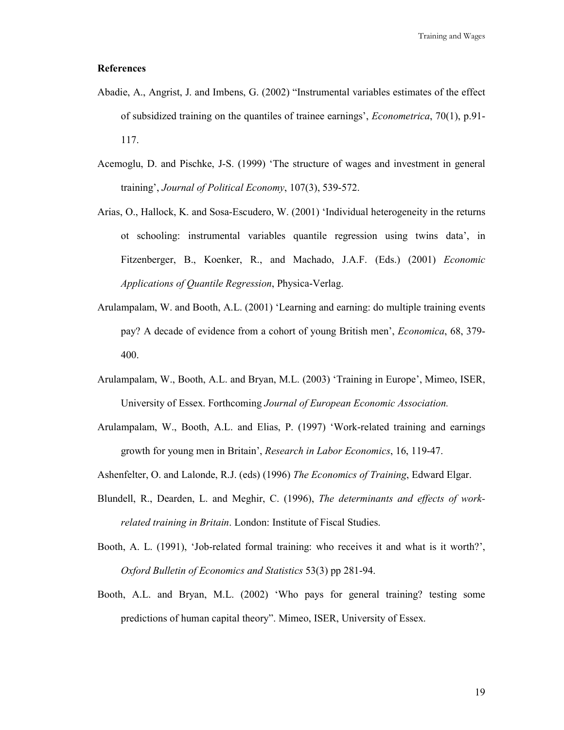#### **References**

- Abadie, A., Angrist, J. and Imbens, G. (2002) "Instrumental variables estimates of the effect of subsidized training on the quantiles of trainee earnings', *Econometrica*, 70(1), p.91- 117.
- Acemoglu, D. and Pischke, J-S. (1999) 'The structure of wages and investment in general training', *Journal of Political Economy*, 107(3), 539-572.
- Arias, O., Hallock, K. and Sosa-Escudero, W. (2001) 'Individual heterogeneity in the returns ot schooling: instrumental variables quantile regression using twins data', in Fitzenberger, B., Koenker, R., and Machado, J.A.F. (Eds.) (2001) *Economic Applications of Quantile Regression*, Physica-Verlag.
- Arulampalam, W. and Booth, A.L. (2001) 'Learning and earning: do multiple training events pay? A decade of evidence from a cohort of young British men', *Economica*, 68, 379- 400.
- Arulampalam, W., Booth, A.L. and Bryan, M.L. (2003) 'Training in Europe', Mimeo, ISER, University of Essex. Forthcoming *Journal of European Economic Association.*
- Arulampalam, W., Booth, A.L. and Elias, P. (1997) 'Work-related training and earnings growth for young men in Britain', *Research in Labor Economics*, 16, 119-47.
- Ashenfelter, O. and Lalonde, R.J. (eds) (1996) *The Economics of Training*, Edward Elgar.
- Blundell, R., Dearden, L. and Meghir, C. (1996), *The determinants and effects of workrelated training in Britain*. London: Institute of Fiscal Studies.
- Booth, A. L. (1991), 'Job-related formal training: who receives it and what is it worth?', *Oxford Bulletin of Economics and Statistics* 53(3) pp 281-94.
- Booth, A.L. and Bryan, M.L. (2002) 'Who pays for general training? testing some predictions of human capital theory". Mimeo, ISER, University of Essex.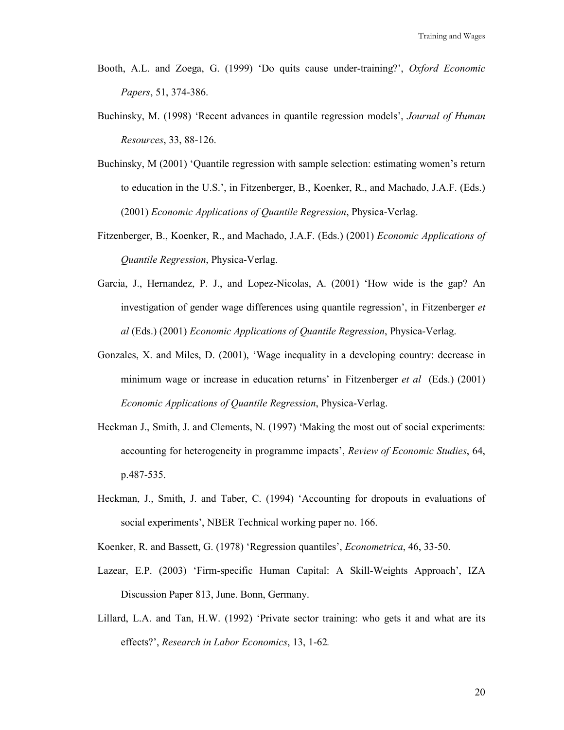- Booth, A.L. and Zoega, G. (1999) 'Do quits cause under-training?', *Oxford Economic Papers*, 51, 374-386.
- Buchinsky, M. (1998) 'Recent advances in quantile regression models', *Journal of Human Resources*, 33, 88-126.
- Buchinsky, M (2001) 'Quantile regression with sample selection: estimating women's return to education in the U.S.', in Fitzenberger, B., Koenker, R., and Machado, J.A.F. (Eds.) (2001) *Economic Applications of Quantile Regression*, Physica-Verlag.
- Fitzenberger, B., Koenker, R., and Machado, J.A.F. (Eds.) (2001) *Economic Applications of Quantile Regression*, Physica-Verlag.
- Garcia, J., Hernandez, P. J., and Lopez-Nicolas, A. (2001) 'How wide is the gap? An investigation of gender wage differences using quantile regression', in Fitzenberger *et al* (Eds.) (2001) *Economic Applications of Quantile Regression*, Physica-Verlag.
- Gonzales, X. and Miles, D. (2001), 'Wage inequality in a developing country: decrease in minimum wage or increase in education returns' in Fitzenberger *et al* (Eds.) (2001) *Economic Applications of Quantile Regression*, Physica-Verlag.
- Heckman J., Smith, J. and Clements, N. (1997) 'Making the most out of social experiments: accounting for heterogeneity in programme impacts', *Review of Economic Studies*, 64, p.487-535.
- Heckman, J., Smith, J. and Taber, C. (1994) 'Accounting for dropouts in evaluations of social experiments', NBER Technical working paper no. 166.

Koenker, R. and Bassett, G. (1978) 'Regression quantiles', *Econometrica*, 46, 33-50.

- Lazear, E.P. (2003) 'Firm-specific Human Capital: A Skill-Weights Approach', IZA Discussion Paper 813, June. Bonn, Germany.
- Lillard, L.A. and Tan, H.W. (1992) 'Private sector training: who gets it and what are its effects?', *Research in Labor Economics*, 13, 1-62*.*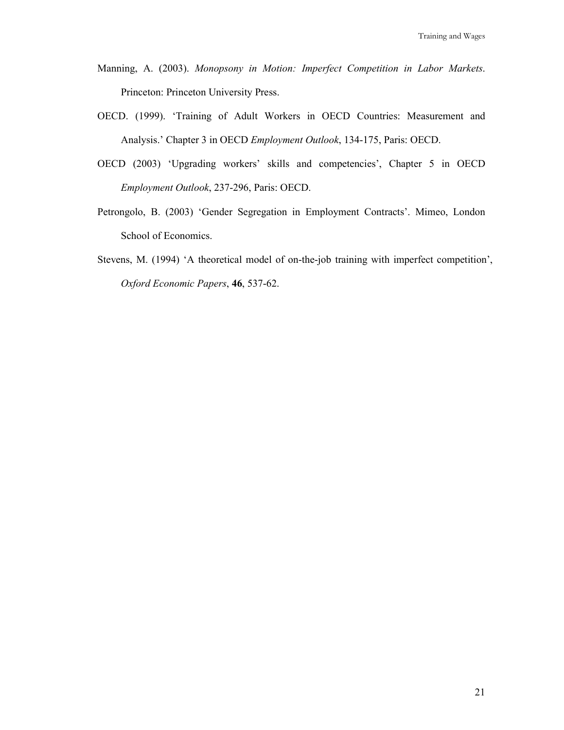- Manning, A. (2003). *Monopsony in Motion: Imperfect Competition in Labor Markets*. Princeton: Princeton University Press.
- OECD. (1999). 'Training of Adult Workers in OECD Countries: Measurement and Analysis.' Chapter 3 in OECD *Employment Outlook*, 134-175, Paris: OECD.
- OECD (2003) 'Upgrading workers' skills and competencies', Chapter 5 in OECD *Employment Outlook*, 237-296, Paris: OECD.
- Petrongolo, B. (2003) 'Gender Segregation in Employment Contracts'. Mimeo, London School of Economics.
- Stevens, M. (1994) 'A theoretical model of on-the-job training with imperfect competition', *Oxford Economic Papers*, **46**, 537-62.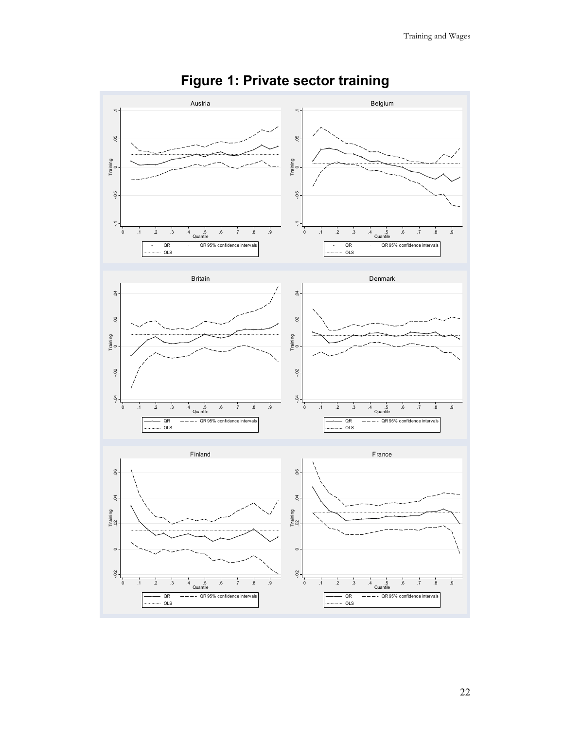

# **Figure 1: Private sector training**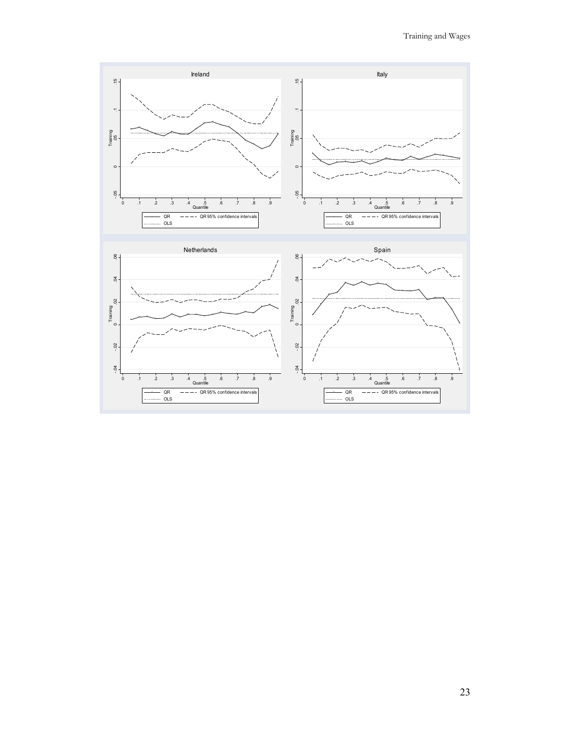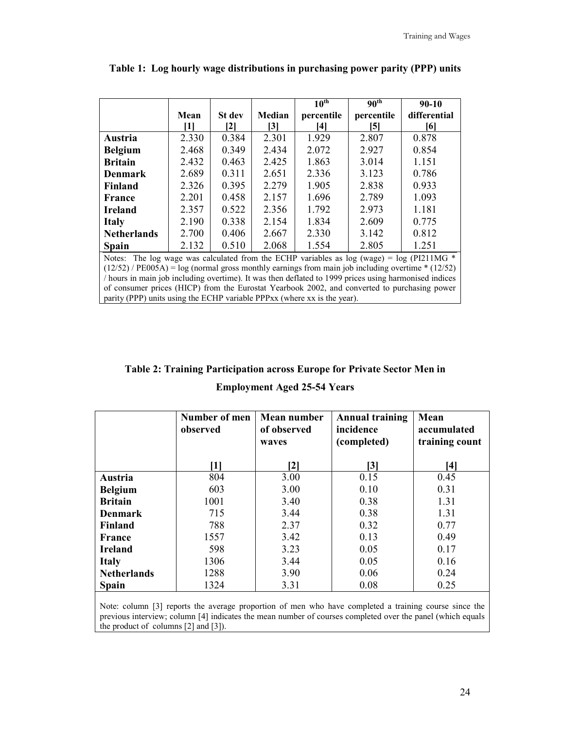|                                                                                                       |       |               |        | $10^{\text{th}}$ | 90 <sup>th</sup> | $90 - 10$    |  |
|-------------------------------------------------------------------------------------------------------|-------|---------------|--------|------------------|------------------|--------------|--|
|                                                                                                       | Mean  | <b>St</b> dev | Median | percentile       | percentile       | differential |  |
|                                                                                                       | 11    | $\mathbf{2}$  | [3]    | <b>41</b>        | 51               | 16 I         |  |
| Austria                                                                                               | 2.330 | 0.384         | 2.301  | 1.929            | 2.807            | 0.878        |  |
| <b>Belgium</b>                                                                                        | 2.468 | 0.349         | 2.434  | 2.072            | 2.927            | 0.854        |  |
| <b>Britain</b>                                                                                        | 2.432 | 0.463         | 2.425  | 1.863            | 3.014            | 1.151        |  |
| <b>Denmark</b>                                                                                        | 2.689 | 0.311         | 2.651  | 2.336            | 3.123            | 0.786        |  |
| Finland                                                                                               | 2.326 | 0.395         | 2.279  | 1.905            | 2.838            | 0.933        |  |
| France                                                                                                | 2.201 | 0.458         | 2.157  | 1.696            | 2.789            | 1.093        |  |
| <b>Ireland</b>                                                                                        | 2.357 | 0.522         | 2.356  | 1.792            | 2.973            | 1.181        |  |
| <b>Italy</b>                                                                                          | 2.190 | 0.338         | 2.154  | 1.834            | 2.609            | 0.775        |  |
| <b>Netherlands</b>                                                                                    | 2.700 | 0.406         | 2.667  | 2.330            | 3.142            | 0.812        |  |
| <b>Spain</b>                                                                                          | 2.132 | 0.510         | 2.068  | 1.554            | 2.805            | 1.251        |  |
| The log wage was calculated from the ECHP variables as log (wage) = log (PI211MG $*$<br>Notes:        |       |               |        |                  |                  |              |  |
| $(12/52)$ / PE005A) = log (normal gross monthly earnings from main job including overtime * (12/52)   |       |               |        |                  |                  |              |  |
| / hours in main job including overtime). It was then deflated to 1999 prices using harmonised indices |       |               |        |                  |                  |              |  |
| of consumer prices (HICP) from the Eurostat Yearbook 2002, and converted to purchasing power          |       |               |        |                  |                  |              |  |

**Table 1: Log hourly wage distributions in purchasing power parity (PPP) units** 

# **Table 2: Training Participation across Europe for Private Sector Men in**

parity (PPP) units using the ECHP variable PPPxx (where xx is the year).

#### **Employment Aged 25-54 Years**

|                    | Number of men<br>observed | <b>Mean number</b><br>of observed<br>waves | <b>Annual training</b><br>incidence<br>(completed) | Mean<br>accumulated<br>training count |
|--------------------|---------------------------|--------------------------------------------|----------------------------------------------------|---------------------------------------|
|                    | [1]                       | [2]                                        | $\mathbf{[3]}$                                     | [4]                                   |
| Austria            | 804                       | 3.00                                       | 0.15                                               | 0.45                                  |
| <b>Belgium</b>     | 603                       | 3.00                                       | 0.10                                               | 0.31                                  |
| <b>Britain</b>     | 1001                      | 3.40                                       | 0.38                                               | 1.31                                  |
| <b>Denmark</b>     | 715                       | 3.44                                       | 0.38                                               | 1.31                                  |
| <b>Finland</b>     | 788                       | 2.37                                       | 0.32                                               | 0.77                                  |
| France             | 1557                      | 3.42                                       | 0.13                                               | 0.49                                  |
| <b>Ireland</b>     | 598                       | 3.23                                       | 0.05                                               | 0.17                                  |
| <b>Italy</b>       | 1306                      | 3.44                                       | 0.05                                               | 0.16                                  |
| <b>Netherlands</b> | 1288                      | 3.90                                       | 0.06                                               | 0.24                                  |
| <b>Spain</b>       | 1324                      | 3.31                                       | 0.08                                               | 0.25                                  |

Note: column [3] reports the average proportion of men who have completed a training course since the previous interview; column [4] indicates the mean number of courses completed over the panel (which equals the product of columns [2] and [3]).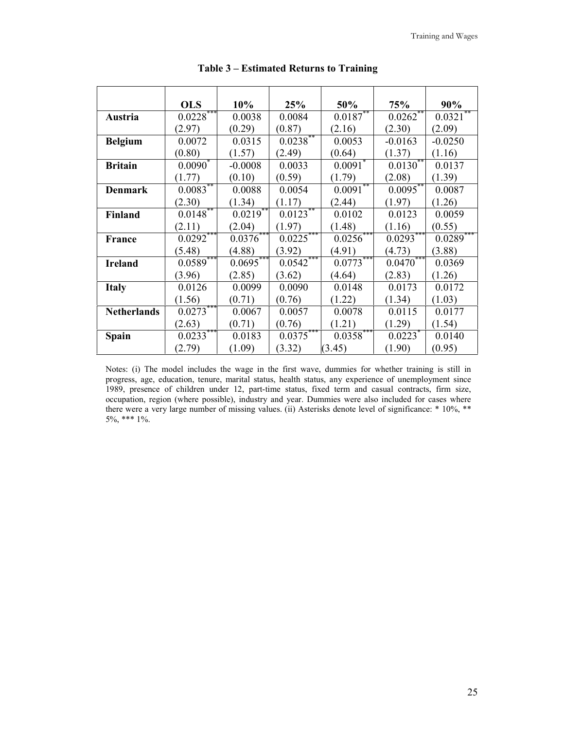|                    | <b>OLS</b>  | 10%          | 25%          | 50%                   | 75%                      | 90%         |
|--------------------|-------------|--------------|--------------|-----------------------|--------------------------|-------------|
| Austria            | 0.0228      | 0.0038       | 0.0084       | 0.0187                | 0.0262                   | $0.0321$ ** |
|                    | (2.97)      | (0.29)       | (0.87)       | (2.16)                | (2.30)                   | (2.09)      |
|                    | 0.0072      | 0.0315       | $0.0238***$  | 0.0053                | $-0.0163$                | $-0.0250$   |
| <b>Belgium</b>     |             |              |              |                       |                          |             |
|                    | (0.80)      | (1.57)       | (2.49)       | (0.64)                | (1.37)                   | (1.16)      |
| <b>Britain</b>     | $0.0090*$   | $-0.0008$    | 0.0033       | $0.0091$ <sup>*</sup> | $0.0\overline{130}^{**}$ | 0.0137      |
|                    | (1.77)      | (0.10)       | (0.59)       | (1.79)                | (2.08)                   | (1.39)      |
| <b>Denmark</b>     | $0.0083$ ** | 0.0088       | 0.0054       | $0.0091$ **           | 0.0095                   | 0.0087      |
|                    | (2.30)      | (1.34)       | (1.17)       | (2.44)                | (1.97)                   | (1.26)      |
| Finland            | $0.0148$ ** | $0.0219$ **  | $0.0123***$  | 0.0102                | 0.0123                   | 0.0059      |
|                    | (2.11)      | (2.04)       | (1.97)       | (1.48)                | (1.16)                   | (0.55)      |
| France             | $0.0292***$ | $0.0376$ *** | $0.0225***$  | 0.0256                | $0.0293$ **              | $0.0289***$ |
|                    | (5.48)      | (4.88)       | (3.92)       | (4.91)                | (4.73)                   | (3.88)      |
| <b>Ireland</b>     | $0.0589***$ | $0.0695***$  | $0.0542$ *** | $0.0773***$           | $0.0470***$              | 0.0369      |
|                    | (3.96)      | (2.85)       | (3.62)       | (4.64)                | (2.83)                   | (1.26)      |
| <b>Italy</b>       | 0.0126      | 0.0099       | 0.0090       | 0.0148                | 0.0173                   | 0.0172      |
|                    | (1.56)      | (0.71)       | (0.76)       | (1.22)                | (1.34)                   | (1.03)      |
| <b>Netherlands</b> | $0.0273***$ | 0.0067       | 0.0057       | 0.0078                | 0.0115                   | 0.0177      |
|                    | (2.63)      | (0.71)       | (0.76)       | (1.21)                | (1.29)                   | (1.54)      |
| Spain              | $0.0233***$ | 0.0183       | $0.0375***$  | $0.0358$ ***          | $0.022\overline{3}^*$    | 0.0140      |
|                    | (2.79)      | (1.09)       | (3.32)       | (3.45)                | (1.90)                   | (0.95)      |

#### **Table 3 – Estimated Returns to Training**

 Notes: (i) The model includes the wage in the first wave, dummies for whether training is still in progress, age, education, tenure, marital status, health status, any experience of unemployment since 1989, presence of children under 12, part-time status, fixed term and casual contracts, firm size, occupation, region (where possible), industry and year. Dummies were also included for cases where there were a very large number of missing values. (ii) Asterisks denote level of significance: \* 10%, \*\*  $5\%$ , \*\*\*  $1\%$ .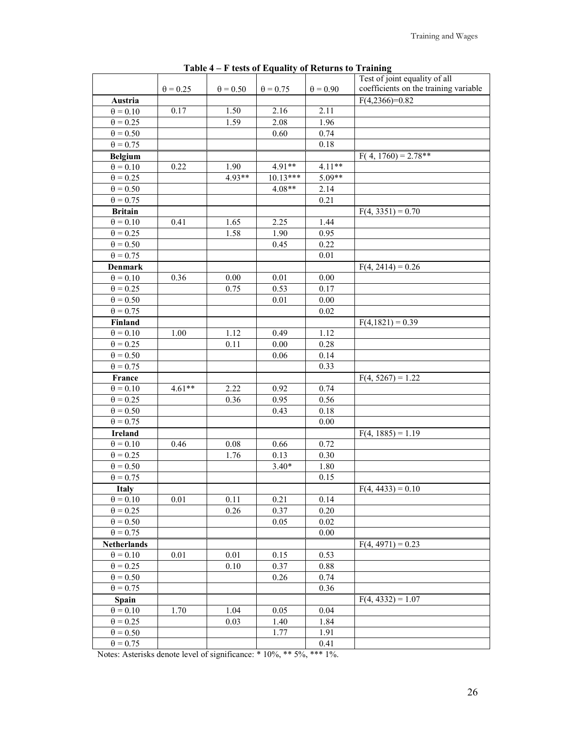|                    |                 | Table + T lests of Equality of Ketariis to Training |                 |                 | Test of joint equality of all         |
|--------------------|-----------------|-----------------------------------------------------|-----------------|-----------------|---------------------------------------|
|                    | $\theta$ = 0.25 | $\theta = 0.50$                                     | $\theta = 0.75$ | $\theta = 0.90$ | coefficients on the training variable |
| Austria            |                 |                                                     |                 |                 | $\overline{F(4,2366)=0.82}$           |
| $\theta = 0.10$    | 0.17            | 1.50                                                | 2.16            | 2.11            |                                       |
| $\theta = 0.25$    |                 | 1.59                                                | 2.08            | 1.96            |                                       |
| $\theta=0.50$      |                 |                                                     | 0.60            | 0.74            |                                       |
| $\theta = 0.75$    |                 |                                                     |                 | 0.18            |                                       |
| <b>Belgium</b>     |                 |                                                     |                 |                 | $F(4, 1760) = 2.78**$                 |
| $\theta = 0.10$    | 0.22            | 1.90                                                | 4.91**          | $4.11**$        |                                       |
| $\theta = 0.25$    |                 | 4.93**                                              | 10.13***        | 5.09**          |                                       |
| $\theta = 0.50$    |                 |                                                     | $4.08**$        | 2.14            |                                       |
| $\theta = 0.75$    |                 |                                                     |                 | 0.21            |                                       |
| <b>Britain</b>     |                 |                                                     |                 |                 | $F(4, 3351) = 0.70$                   |
| $\theta = 0.10$    | 0.41            | 1.65                                                | 2.25            | 1.44            |                                       |
| $\theta = 0.25$    |                 | 1.58                                                | 1.90            | 0.95            |                                       |
| $\theta = 0.50$    |                 |                                                     | 0.45            | 0.22            |                                       |
| $\theta=0.75$      |                 |                                                     |                 | $0.01\,$        |                                       |
| <b>Denmark</b>     |                 |                                                     |                 |                 | $F(4, 2414) = 0.26$                   |
| $\theta=0.10$      | 0.36            | $0.00\,$                                            | 0.01            | 0.00            |                                       |
| $\theta = 0.25$    |                 | 0.75                                                | 0.53            | 0.17            |                                       |
| $\theta = 0.50$    |                 |                                                     |                 | $0.00\,$        |                                       |
| $\theta = 0.75$    |                 |                                                     | 0.01            |                 |                                       |
|                    |                 |                                                     |                 | 0.02            |                                       |
| Finland            | $1.00\,$        | 1.12                                                | 0.49            | 1.12            | $F(4,1821) = 0.39$                    |
| $\theta=0.10$      |                 |                                                     |                 |                 |                                       |
| $\theta = 0.25$    |                 | 0.11                                                | 0.00            | 0.28            |                                       |
| $\theta = 0.50$    |                 |                                                     | 0.06            | 0.14            |                                       |
| $\theta = 0.75$    |                 |                                                     |                 | 0.33            |                                       |
| France             |                 |                                                     |                 |                 | $F(4, 5267) = 1.22$                   |
| $\theta = 0.10$    | $4.61**$        | 2.22                                                | 0.92            | 0.74            |                                       |
| $\theta = 0.25$    |                 | 0.36                                                | 0.95            | 0.56            |                                       |
| $\theta = 0.50$    |                 |                                                     | 0.43            | 0.18            |                                       |
| $\theta = 0.75$    |                 |                                                     |                 | $0.00\,$        |                                       |
| Ireland            |                 |                                                     |                 |                 | $F(4, 1885) = 1.19$                   |
| $\theta = 0.10$    | 0.46            | 0.08                                                | 0.66            | 0.72            |                                       |
| $\theta = 0.25$    |                 | 1.76                                                | 0.13            | 0.30            |                                       |
| $\theta = 0.50$    |                 |                                                     | $3.40*$         | 1.80            |                                       |
| $\theta = 0.75$    |                 |                                                     |                 | 0.15            |                                       |
| <b>Italy</b>       |                 |                                                     |                 |                 | $F(4, 4433) = 0.10$                   |
| $\theta = 0.10$    | 0.01            | 0.11                                                | 0.21            | 0.14            |                                       |
| $\theta = 0.25$    |                 | 0.26                                                | 0.37            | 0.20            |                                       |
| $\theta = 0.50$    |                 |                                                     | 0.05            | 0.02            |                                       |
| $\theta = 0.75$    |                 |                                                     |                 | 0.00            |                                       |
| <b>Netherlands</b> |                 |                                                     |                 |                 | $F(4, 4971) = 0.23$                   |
| $\theta = 0.10$    | 0.01            | 0.01                                                | 0.15            | 0.53            |                                       |
| $\theta$ = 0.25    |                 | 0.10                                                | 0.37            | 0.88            |                                       |
| $\theta = 0.50$    |                 |                                                     | 0.26            | 0.74            |                                       |
| $\theta = 0.75$    |                 |                                                     |                 | 0.36            |                                       |
| <b>Spain</b>       |                 |                                                     |                 |                 | $F(4, 4332) = 1.07$                   |
| $\theta = 0.10$    | 1.70            | 1.04                                                | 0.05            | 0.04            |                                       |
| $\theta = 0.25$    |                 | 0.03                                                | 1.40            | 1.84            |                                       |
| $\theta = 0.50$    |                 |                                                     | 1.77            | 1.91            |                                       |
| $\theta = 0.75$    |                 |                                                     |                 | 0.41            |                                       |

**Table 4 – F tests of Equality of Returns to Training**

Notes: Asterisks denote level of significance: \* 10%, \*\* 5%, \*\*\* 1%.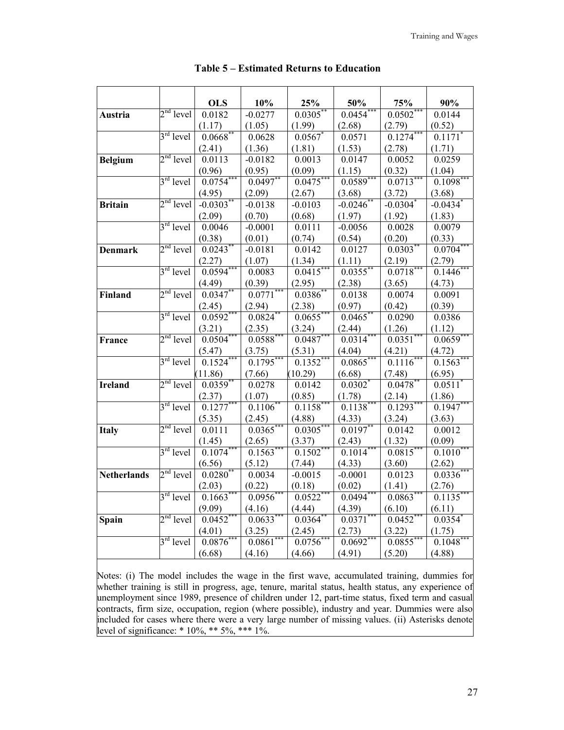|                    |                       | <b>OLS</b>            | 10%                    | 25%                   | 50%                    | 75%                    | 90%                     |
|--------------------|-----------------------|-----------------------|------------------------|-----------------------|------------------------|------------------------|-------------------------|
| Austria            | $2nd$ level           | 0.0182                | $-0.0277$              | $0.0305$ *            | $0.0454***$            | $0.0502$ <sup>*</sup>  | 0.0144                  |
|                    |                       | (1.17)                | (1.05)                 | (1.99)                | (2.68)                 | (2.79)                 | (0.52)                  |
|                    | $3^{\text{rd}}$ level | $0.0668$ <sup>*</sup> | 0.0628                 | 0.0567                | 0.0571                 | $0.1274$ <sup>*</sup>  | $0.1171$ <sup>*</sup>   |
|                    |                       | (2.41)                | (1.36)                 | (1.81)                | (1.53)                 | (2.78)                 | (1.71)                  |
| <b>Belgium</b>     | $2nd$ level           | 0.0113                | $-0.0182$              | 0.0013                | 0.0147                 | 0.0052                 | 0.0259                  |
|                    |                       | (0.96)                | (0.95)                 | (0.09)                | (1.15)                 | (0.32)                 | (1.04)                  |
|                    | $3rd$ level           | $0.0754$ *            | $0.0497$ *             | 0.0475                | $0.0589$ **            | 0.0713                 | $0.1098^{**}$           |
|                    |                       | (4.95)                | (2.09)                 | (2.67)                | (3.68)                 | (3.72)                 | (3.68)                  |
| <b>Britain</b>     | $2nd$ level           | $-0.0303**$           | $-0.0138$              | $-0.0103$             | $-0.02\overline{46}^*$ | $-0.0304$ <sup>*</sup> | $-0.043\overline{4}^*$  |
|                    |                       | (2.09)                | (0.70)                 | (0.68)                | (1.97)                 | (1.92)                 | (1.83)                  |
|                    | $3rd$ level           | 0.0046                | $-0.0001$              | 0.0111                | $-0.0056$              | 0.0028                 | 0.0079                  |
|                    |                       | (0.38)                | (0.01)                 | (0.74)                | (0.54)                 | (0.20)                 | (0.33)                  |
| <b>Denmark</b>     | $2nd$ level           | 0.0243                | $-0.0181$              | 0.0142                | 0.0127                 | 0.0303                 | $0.0704$ <sup>*</sup>   |
|                    |                       | (2.27)                | (1.07)                 | (1.34)                | (1.11)                 | (2.19)                 | (2.79)                  |
|                    | $3rd$ level           | $0.0594$ <sup>*</sup> | 0.0083                 | 0.0415                | 0.0355                 | 0.0718                 | 0.1446                  |
|                    |                       | (4.49)                | (0.39)                 | (2.95)                | (2.38)                 | (3.65)                 | (4.73)                  |
| <b>Finland</b>     | $2nd$ level           | $0.0347**$            | $0.0771$ <sup>**</sup> | $0.0386^{*}$          | 0.0138                 | 0.0074                 | 0.0091                  |
|                    |                       | (2.45)                | (2.94)                 | (2.38)                | (0.97)                 | (0.42)                 | (0.39)                  |
|                    | $3rd$ level           | $0.0592**$            | $0.0824$ *             | $0.0655$ **           | $0.0465$ **            | 0.0290                 | 0.0386                  |
|                    |                       | (3.21)                | (2.35)                 | (3.24)                | (2.44)                 | (1.26)                 | (1.12)                  |
| France             | $2nd$ level           | $0.0504***$           | $0.0588***$            | $0.0487***$           | $0.0314***$            | $0.0351$ **            | $0.0659***$             |
|                    |                       | (5.47)                | (3.75)                 | (5.31)                | (4.04)                 | (4.21)                 | (4.72)                  |
|                    | $3rd$ level           | $0.1524$ <sup>*</sup> | 0.1795                 | 0.1352                | 0.0865                 | 0.1116                 | $0.1563$ <sup>*</sup>   |
|                    |                       | (11.86)               | (7.66)                 | (10.29)               | (6.68)                 | (7.48)                 | (6.95)                  |
| <b>Ireland</b>     | $2nd$ level           | 0.0359                | 0.0278                 | 0.0142                | $0.0302^*$             | 0.0478                 | $0.0511$ <sup>*</sup>   |
|                    |                       | (2.37)                | (1.07)                 | (0.85)                | (1.78)                 | (2.14)                 | (1.86)                  |
|                    | $3rd$ level           | 0.1277                | $0.1106^*$             | $0.1158$ <sup>*</sup> | $0.1138$ <sup>*</sup>  | 0.1293                 | $0.1947$ *              |
|                    |                       | (5.35)                | (2.45)                 | (4.88)                | (4.33)                 | (3.24)                 | (3.63)                  |
| <b>Italy</b>       | $2nd$ level           | 0.0111                | $0.0365$ **            | $0.0305***$           | $0.0197**$             | 0.0142                 | 0.0012                  |
|                    |                       | (1.45)                | (2.65)                 | (3.37)                | (2.43)                 | (1.32)                 | (0.09)                  |
|                    | $3rd$ level           | $0.1074$ <sup>*</sup> | $0.1563$ <sup>*</sup>  | $0.1502$ <sup>*</sup> | $0.1014$ <sup>*</sup>  | 0.0815                 | $0.1010^{**}$           |
|                    |                       | (6.56)                | (5.12)                 | (7.44)                | (4.33)                 | (3.60)                 | (2.62)                  |
| <b>Netherlands</b> | $2nd$ level           | $0.0280^*$            | 0.0034                 | $-0.0015$             | $-0.0001$              | 0.0123                 | $0.0336^{*}$            |
|                    |                       | (2.03)                | (0.22)                 | (0.18)                | (0.02)                 | (1.41)                 | (2.76)                  |
|                    | $3rd$ level           | $0.1663$ *            | $0.0956$ **            | $0.0522$ <sup>*</sup> | $0.0494***$            | $0.0863$ <sup>*</sup>  | $0.1135***$             |
|                    |                       | (9.09)                | (4.16)                 | (4.44)                | (4.39)                 | (6.10)                 | (6.11)                  |
| <b>Spain</b>       | $2nd$ level           | $0.0452$ **           | $0.0633$ **            | $0.0364$ *            | 0.0371                 | $0.0452$ *             | $0.0354$ *              |
|                    |                       | (4.01)                | (3.25)                 | (2.45)                | (2.73)                 | (3.22)                 | (1.75)                  |
|                    | $3rd$ level           | $0.0876*$             | $0.0861**$             | $0.0756$ <sup>*</sup> | $0.0692***$            | $0.0855$ *             | $0.10\overline{48}$ *** |
|                    |                       | (6.68)                | (4.16)                 | (4.66)                | (4.91)                 | (5.20)                 | (4.88)                  |

#### **Table 5 – Estimated Returns to Education**

Notes: (i) The model includes the wage in the first wave, accumulated training, dummies for whether training is still in progress, age, tenure, marital status, health status, any experience of unemployment since 1989, presence of children under 12, part-time status, fixed term and casual contracts, firm size, occupation, region (where possible), industry and year. Dummies were also included for cases where there were a very large number of missing values. (ii) Asterisks denote level of significance: \* 10%, \*\* 5%, \*\*\* 1%.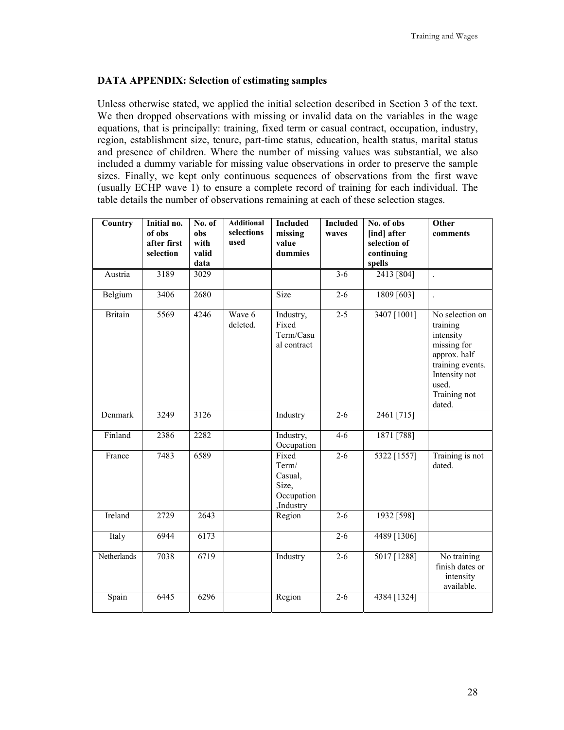#### **DATA APPENDIX: Selection of estimating samples**

Unless otherwise stated, we applied the initial selection described in Section 3 of the text. We then dropped observations with missing or invalid data on the variables in the wage equations, that is principally: training, fixed term or casual contract, occupation, industry, region, establishment size, tenure, part-time status, education, health status, marital status and presence of children. Where the number of missing values was substantial, we also included a dummy variable for missing value observations in order to preserve the sample sizes. Finally, we kept only continuous sequences of observations from the first wave (usually ECHP wave 1) to ensure a complete record of training for each individual. The table details the number of observations remaining at each of these selection stages.

| <b>Country</b> | Initial no.<br>of obs<br>after first<br>selection | No. of<br>obs<br>with<br>valid<br>data | <b>Additional</b><br>selections<br>used | <b>Included</b><br>missing<br>value<br>dummies                | <b>Included</b><br>waves | No. of obs<br>[ind] after<br>selection of<br>continuing<br>spells | Other<br>comments                                                                                                                               |
|----------------|---------------------------------------------------|----------------------------------------|-----------------------------------------|---------------------------------------------------------------|--------------------------|-------------------------------------------------------------------|-------------------------------------------------------------------------------------------------------------------------------------------------|
| Austria        | 3189                                              | 3029                                   |                                         |                                                               | $3-6$                    | 2413 [804]                                                        |                                                                                                                                                 |
| Belgium        | 3406                                              | 2680                                   |                                         | Size                                                          | $2-6$                    | 1809 [603]                                                        |                                                                                                                                                 |
| <b>Britain</b> | 5569                                              | 4246                                   | Wave 6<br>deleted.                      | Industry,<br>Fixed<br>Term/Casu<br>al contract                | $2 - 5$                  | 3407 [1001]                                                       | No selection on<br>training<br>intensity<br>missing for<br>approx. half<br>training events.<br>Intensity not<br>used.<br>Training not<br>dated. |
| Denmark        | 3249                                              | 3126                                   |                                         | Industry                                                      | $2 - 6$                  | 2461 [715]                                                        |                                                                                                                                                 |
| Finland        | 2386                                              | 2282                                   |                                         | Industry,<br>Occupation                                       | $4-6$                    | 1871 [788]                                                        |                                                                                                                                                 |
| France         | 7483                                              | 6589                                   |                                         | Fixed<br>Term/<br>Casual,<br>Size,<br>Occupation<br>,Industry | $2-6$                    | 5322 [1557]                                                       | Training is not<br>dated.                                                                                                                       |
| Ireland        | 2729                                              | 2643                                   |                                         | Region                                                        | $2 - 6$                  | 1932 [598]                                                        |                                                                                                                                                 |
| Italy          | 6944                                              | 6173                                   |                                         |                                                               | $2 - 6$                  | 4489 [1306]                                                       |                                                                                                                                                 |
| Netherlands    | 7038                                              | 6719                                   |                                         | Industry                                                      | $2-6$                    | 5017 [1288]                                                       | No training<br>finish dates or<br>intensity<br>available.                                                                                       |
| Spain          | 6445                                              | 6296                                   |                                         | Region                                                        | $2 - 6$                  | 4384 [1324]                                                       |                                                                                                                                                 |